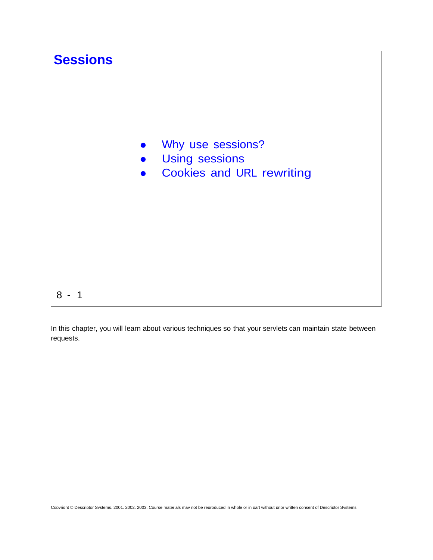

In this chapter, you will learn about various techniques so that your servlets can maintain state between requests. The contract of the contract of the contract of the contract of the contract of the contract of the contract of the contract of the contract of the contract of the contract of the contract of the contract of the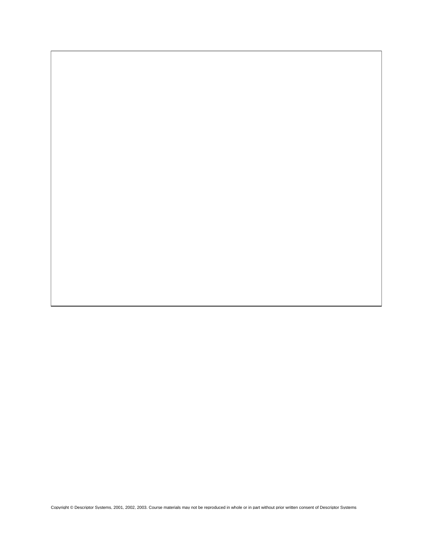Copyright © Descriptor Systems, 2001, 2002, 2003. Course materials may not be reproduced in whole or in part without prior written consent of Descriptor Systems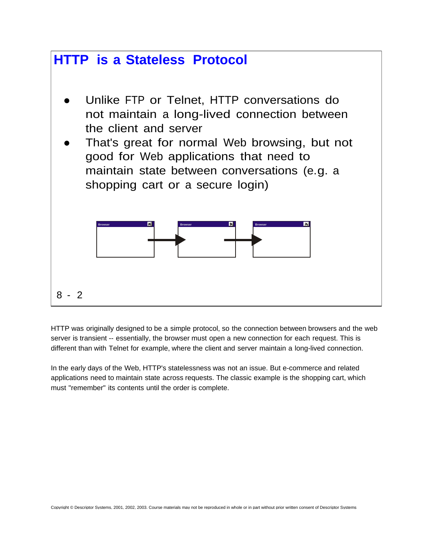

HTTP was originally designed to be a simple protocol, so the connection between browsers and the web server is transient -- essentially, the browser must open a new connection for each request. This is different than with Telnet for example, where the client and server maintain a long-lived connection.

In the early days of the Web, HTTP's statelessness was not an issue. But e-commerce and related applications need to maintain state across requests. The classic example is the shopping cart, which must "remember" its contents until the order is complete.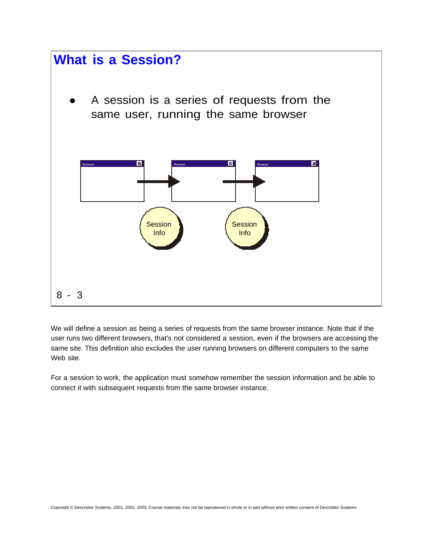

We will define a session as being a series of requests from the same browser instance. Note that if the user runs two different browsers, that's not considered a session, even if the browsers are accessing the same site. This definition also excludes the user running browsers on different computers to the same Web site. The state of the state of the state of the state of the state of the state of the state of the state of the state of the state of the state of the state of the state of the state of the state of the state of the

For a session to work, the application must somehow remember the session information and be able to connect it with subsequent requests from the same browser instance.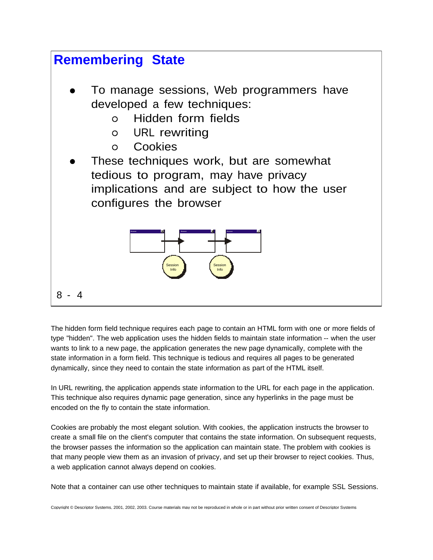

The hidden form field technique requires each page to contain an HTML form with one or more fields of type "hidden". The web application uses the hidden fields to maintain state information -- when the user wants to link to a new page, the application generates the new page dynamically, complete with the state information in a form field. This technique is tedious and requires all pages to be generated dynamically, since they need to contain the state information as part of the HTML itself.

In URL rewriting, the application appends state information to the URL for each page in the application. This technique also requires dynamic page generation, since any hyperlinks in the page must be encoded on the fly to contain the state information.

Cookies are probably the most elegant solution. With cookies, the application instructs the browser to create a small file on the client's computer that contains the state information. On subsequent requests, the browser passes the information so the application can maintain state. The problem with cookies is that many people view them as an invasion of privacy, and set up their browser to reject cookies. Thus, a web application cannot always depend on cookies.

Note that a container can use other techniques to maintain state if available, for example SSL Sessions.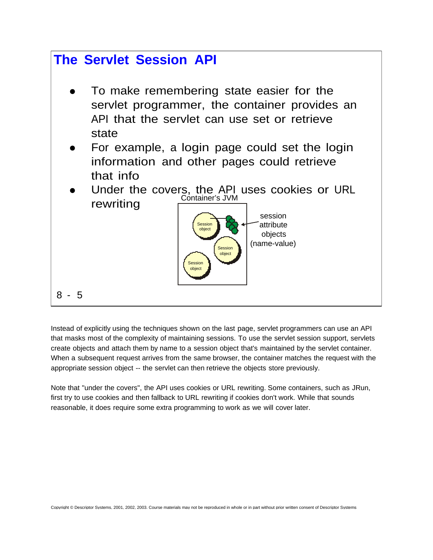

Instead of explicitly using the techniques shown on the last page, servlet programmers can use an API that masks most of the complexity of maintaining sessions. To use the servlet session support, servlets create objects and attach them by name to a session object that's maintained by the servlet container. When a subsequent request arrives from the same browser, the container matches the request with the appropriate session object -- the servlet can then retrieve the objects store previously.

Note that "under the covers", the API uses cookies or URL rewriting. Some containers, such as JRun, first try to use cookies and then fallback to URL rewriting if cookies don't work. While that sounds reasonable, it does require some extra programming to work as we will cover later.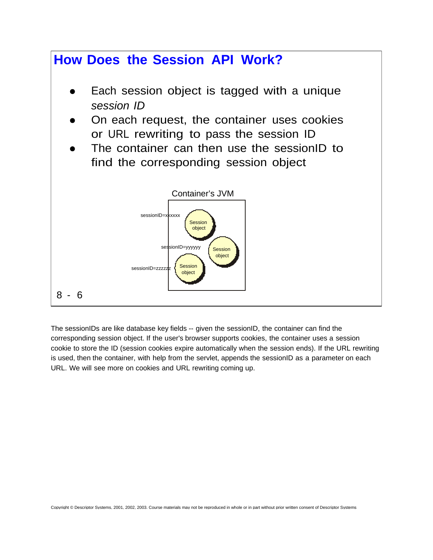

The sessionIDs are like database key fields -- given the sessionID, the container can find the corresponding session object. If the user's browser supports cookies, the container uses a session cookie to store the ID (session cookies expire automatically when the session ends). If the URL rewriting is used, then the container, with help from the servlet, appends the sessionID as a parameter on each URL. We will see more on cookies and URL rewriting coming up.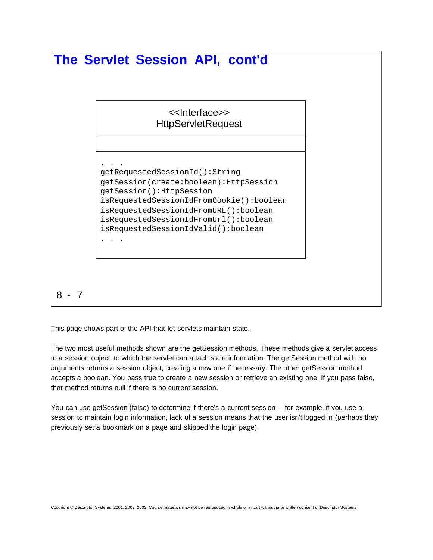

This page shows part of the API that let servlets maintain state.

The two most useful methods shown are the getSession methods. These methods give a servlet access to a session object, to which the servlet can attach state information. The getSession method with no arguments returns a session object, creating a new one if necessary. The other getSession method accepts a boolean. You pass true to create a new session or retrieve an existing one. If you pass false, that method returns null if there is no current session.

You can use getSession (false) to determine if there's a current session -- for example, if you use a session to maintain login information, lack of a session means that the user isn't logged in (perhaps they previously set a bookmark on a page and skipped the login page).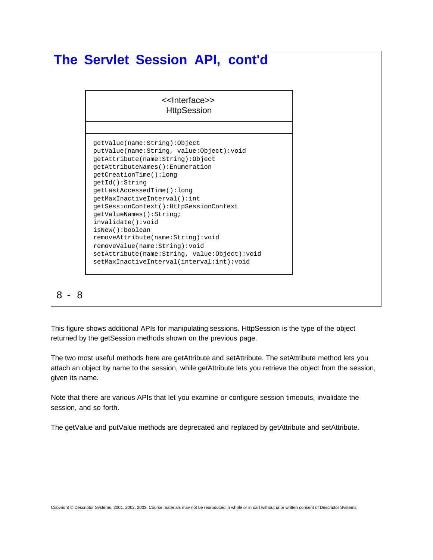

This figure shows additional APIs for manipulating sessions. HttpSession is the type of the object returned by the getSession methods shown on the previous page.

The two most useful methods here are getAttribute and setAttribute. The setAttribute method lets you attach an object by name to the session, while getAttribute lets you retrieve the object from the session, given its name.

Note that there are various APIs that let you examine or configure session timeouts, invalidate the session, and so forth.

The getValue and putValue methods are deprecated and replaced by getAttribute and setAttribute.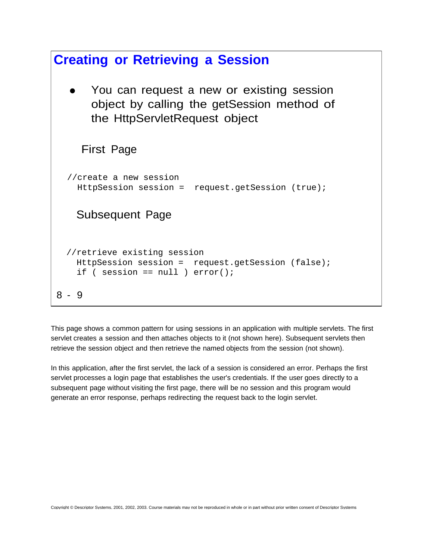```
Creating or Retrieving a Session
8 - 9
   You can request a new or existing session
   object by calling the getSession method of
   the HttpServletRequest object
   First Page
  Subsequent Page and the state of the state of the state of the state of the state of the state of the state of
 //create a new session
   HttpSession session = request.getSession (true);
 //retrieve existing session
   HttpSession session = request.getSession (false);
  if ( session == null ) error();
```
This page shows a common pattern for using sessions in an application with multiple servlets. The first servlet creates a session and then attaches objects to it (not shown here). Subsequent servlets then retrieve the session object and then retrieve the named objects from the session (not shown).

In this application, after the first servlet, the lack of a session is considered an error. Perhaps the first servlet processes a login page that establishes the user's credentials. If the user goes directly to a subsequent page without visiting the first page, there will be no session and this program would generate an error response, perhaps redirecting the request back to the login servlet.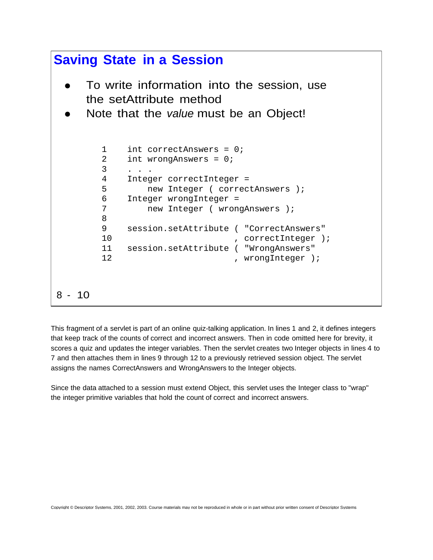```
Saving State in a Session
8 - 10
   To write information into the session, use
   the setAttribute method
   Note that the value must be an Object!
    1 int correctAnswers = 0;
     2 int wrongAnswers = 0;
     3 \cdot \ldots4 Integer correctInteger =
     5 new Integer ( correctAnswers );
     6 Integer wrongInteger =
     7 new Integer ( wrongAnswers );
     8 
     9 session.setAttribute ( "CorrectAnswers"
    10 , correctInteger );
    11 session.setAttribute ( "WrongAnswers"
    12 , wrongInteger );
```
This fragment of a servlet is part of an online quiz-talking application. In lines 1 and 2, it defines integers that keep track of the counts of correct and incorrect answers. Then in code omitted here for brevity, it scores a quiz and updates the integer variables. Then the servlet creates two Integer objects in lines 4 to 7 and then attaches them in lines 9 through 12 to a previously retrieved session object. The servlet assigns the names CorrectAnswers and WrongAnswers to the Integer objects.

Since the data attached to a session must extend Object, this servlet uses the Integer class to "wrap" the integer primitive variables that hold the count of correct and incorrect answers.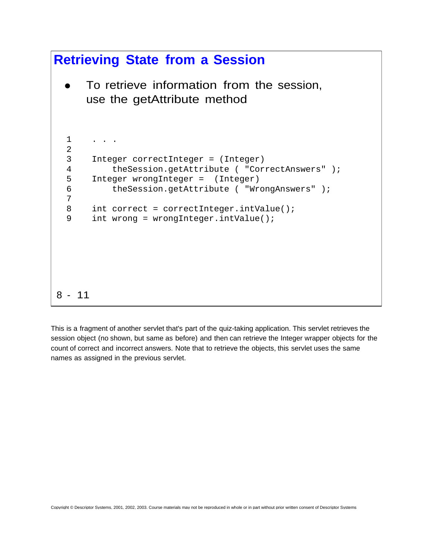```
Retrieving State from a Session
8 - 11To retrieve information from the session,
   use the getAttribute method
 1 \cdots . . . \blacksquare2 \left( \frac{1}{2} \right)3 Integer correctInteger = (Integer)
 4 theSession.getAttribute ( "CorrectAnswers" );
 5 Integer wrongInteger = (Integer)
 6 theSession.getAttribute ( "WrongAnswers" );
 78 int correct = correctInteger.intValue();
 9 int wrong = wrongInteger.intValue();
```
This is a fragment of another servlet that's part of the quiz-taking application. This servlet retrieves the session object (no shown, but same as before) and then can retrieve the Integer wrapper objects for the count of correct and incorrect answers. Note that to retrieve the objects, this servlet uses the same names as assigned in the previous servlet.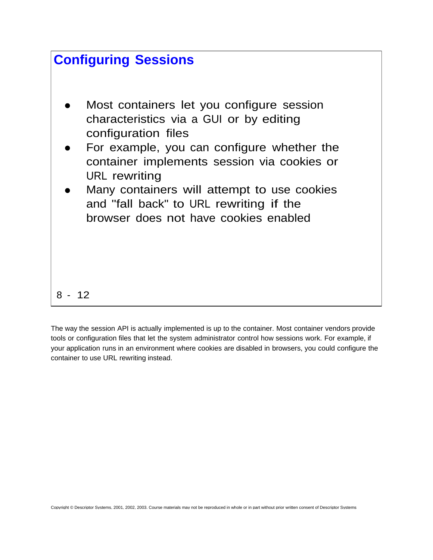

The way the session API is actually implemented is up to the container. Most container vendors provide tools or configuration files that let the system administrator control how sessions work. For example, if your application runs in an environment where cookies are disabled in browsers, you could configure the container to use URL rewriting instead.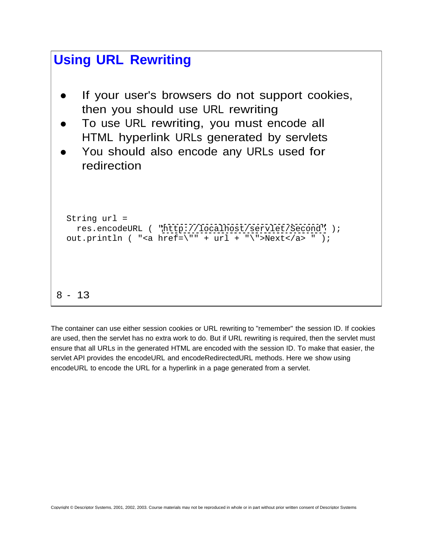```
Using URL Rewriting
8 - 13If your user's browsers do not support cookies,
   then you should use URL rewriting
   To use URL rewriting, you must encode all
   HTML hyperlink URLs generated by servlets
   You should also encode any URLs used for
   redirection and the contraction of the contraction of the contraction of \vertString url =
   res.encodeURL ( "http://localhost/servlet/Second" );
 out.println ( "<a href=\"" + url + "\">Next</a> " );
```
The container can use either session cookies or URL rewriting to "remember" the session ID. If cookies are used, then the servlet has no extra work to do. But if URL rewriting is required, then the servlet must ensure that all URLs in the generated HTML are encoded with the session ID. To make that easier, the servlet API provides the encodeURL and encodeRedirectedURL methods. Here we show using encodeURL to encode the URL for a hyperlink in a page generated from a servlet.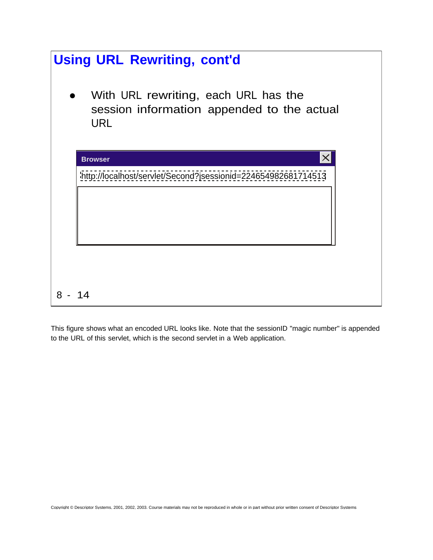![](_page_14_Figure_0.jpeg)

This figure shows what an encoded URL looks like. Note that the sessionID "magic number" is appended to the URL of this servlet, which is the second servlet in a Web application.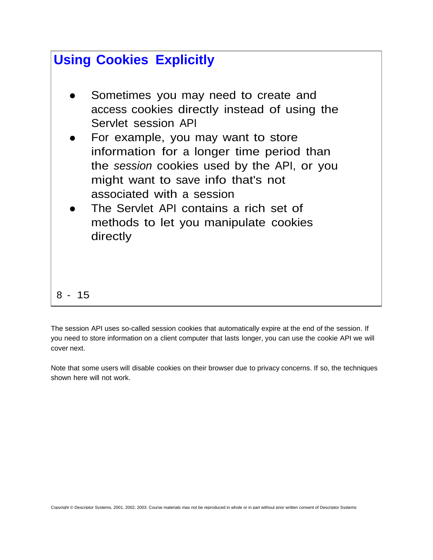![](_page_15_Figure_0.jpeg)

The session API uses so-called session cookies that automatically expire at the end of the session. If you need to store information on a client computer that lasts longer, you can use the cookie API we will cover next. The contract of the contract of the contract of the contract of the contract of the contract of the contract of the contract of the contract of the contract of the contract of the contract of the contract of th

Note that some users will disable cookies on their browser due to privacy concerns. If so, the techniques shown here will not work.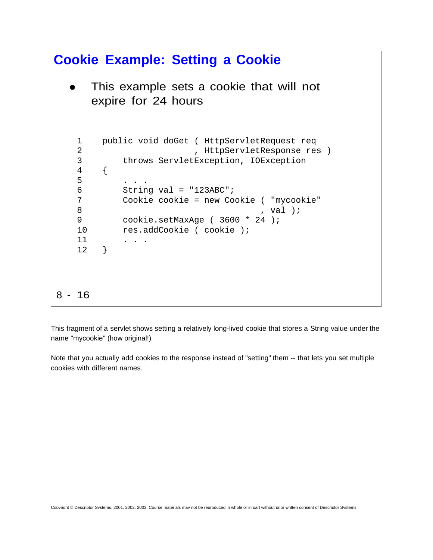```
Cookie Example: Setting a Cookie
8 - 16This example sets a cookie that will not
  expire for 24 hours
 1 public void doGet ( HttpServletRequest req
 2 , HttpServletResponse res )
 3 throws ServletException, IOException
 4 \quad \{5 . . .
 6 String val = "123ABC";
 7 Cookie cookie = new Cookie ( "mycookie"
 8 , val );
 9 cookie.setMaxAge ( 3600 * 24 );
 10 res.addCookie ( cookie );
 11 \cdots . . . \blacksquare12 }
```
This fragment of a servlet shows setting a relatively long-lived cookie that stores a String value under the name "mycookie" (how original!)

Note that you actually add cookies to the response instead of "setting" them -- that lets you set multiple cookies with different names.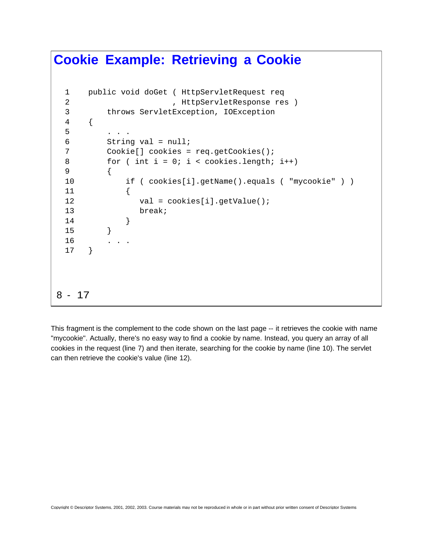## **Cookie Example: Retrieving a Cookie**

```
8 - 171 public void doGet ( HttpServletRequest req
2 , HttpServletResponse res )
3 throws ServletException, IOException
4 {
5 . . .
6 String val = null;
7 Cookie[] cookies = req.getCookies();
8 for ( int i = 0; i < cookies.length; i++)
9 \left\{ \right\}10 if ( cookies[i].getName().equals ( "mycookie" ) )
11 \{12 val = cookies[i].getValue();
13 break; break; the contract of the contract of the contract of the contract of the contract of the contract of the contract of the contract of the contract of the contract of the contract of the contract of the contract 
14 }
15 }
16 . . .
17 }
```
This fragment is the complement to the code shown on the last page -- it retrieves the cookie with name "mycookie". Actually, there's no easy way to find a cookie by name. Instead, you query an array of all cookies in the request (line 7) and then iterate, searching for the cookie by name (line 10). The servlet can then retrieve the cookie's value (line 12).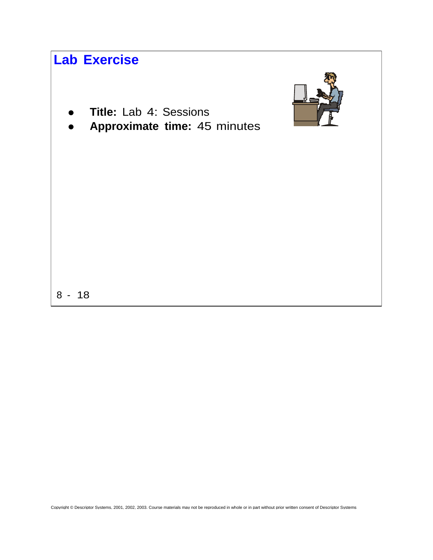## **Lab Exercise**

![](_page_18_Picture_1.jpeg)

- **Title:** Lab 4: Sessions  $\bullet$
- **Approximate time:** 45 minutes $\bullet$

8 - 18  $\sim$  18

Copyright © Descriptor Systems, 2001, 2002, 2003. Course materials may not be reproduced in whole or in part without prior written consent of Descriptor Systems